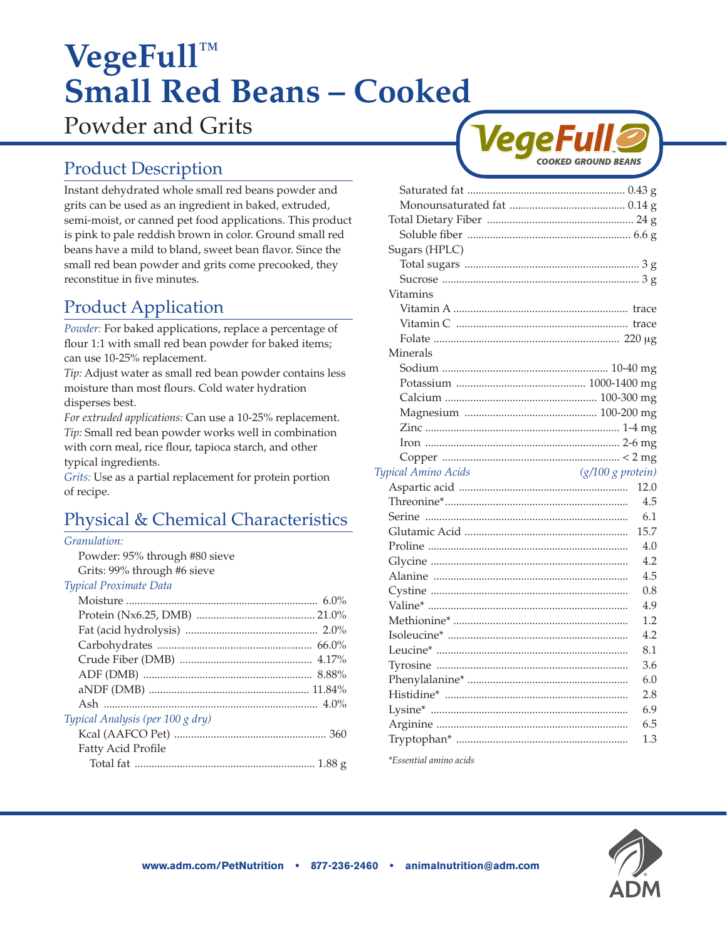# **VegeFull™ Small Red Beans – Cooked**

Powder and Grits

# Product Description

Instant dehydrated whole small red beans powder and grits can be used as an ingredient in baked, extruded, semi-moist, or canned pet food applications. This product is pink to pale reddish brown in color. Ground small red beans have a mild to bland, sweet bean flavor. Since the small red bean powder and grits come precooked, they reconstitue in five minutes.

# Product Application

*Powder:* For baked applications, replace a percentage of flour 1:1 with small red bean powder for baked items; can use 10-25% replacement.

*Tip:* Adjust water as small red bean powder contains less moisture than most flours. Cold water hydration disperses best.

*For extruded applications:* Can use a 10-25% replacement. *Tip:* Small red bean powder works well in combination with corn meal, rice flour, tapioca starch, and other typical ingredients.

*Grits:* Use as a partial replacement for protein portion of recipe.

# Physical & Chemical Characteristics

#### *Granulation:*

Powder: 95% through #80 sieve Grits: 99% through #6 sieve

#### *Typical Proximate Data*

| Typical Analysis (per 100 g dry) |  |
|----------------------------------|--|
|                                  |  |
| Fatty Acid Profile               |  |
|                                  |  |



| Sugars (HPLC)                              |      |
|--------------------------------------------|------|
|                                            |      |
|                                            |      |
| Vitamins                                   |      |
|                                            |      |
|                                            |      |
|                                            |      |
| Minerals                                   |      |
|                                            |      |
|                                            |      |
|                                            |      |
|                                            |      |
|                                            |      |
|                                            |      |
|                                            |      |
| $(g/100 g$ protein)<br>Typical Amino Acids |      |
|                                            | 12.0 |
|                                            | 4.5  |
|                                            | 6.1  |
|                                            | 15.7 |
|                                            | 4.0  |
|                                            | 4.2  |
|                                            | 4.5  |
|                                            | 0.8  |
|                                            | 4.9  |
|                                            | 1.2  |
|                                            | 4.2  |
|                                            | 8.1  |
|                                            | 3.6  |
|                                            | 6.0  |
|                                            | 2.8  |
|                                            | 6.9  |
|                                            | 6.5  |
|                                            | 1.3  |
|                                            |      |

*\*Essential amino acids*